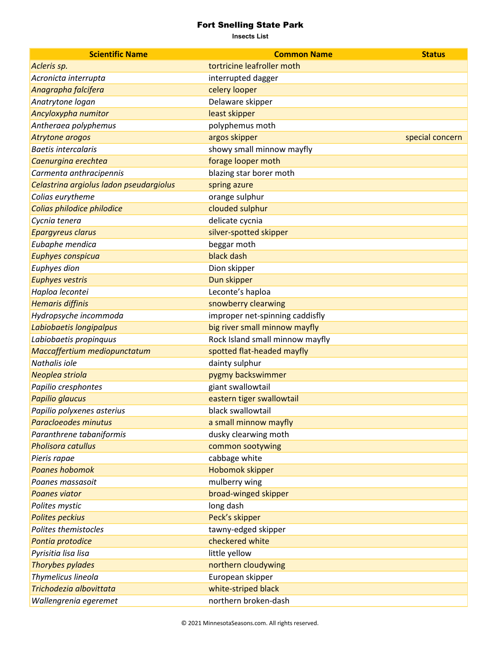## Fort Snelling State Park

**Insects List**

| <b>Scientific Name</b>                  | <b>Common Name</b>              | <b>Status</b>   |
|-----------------------------------------|---------------------------------|-----------------|
| Acleris sp.                             | tortricine leafroller moth      |                 |
| Acronicta interrupta                    | interrupted dagger              |                 |
| Anagrapha falcifera                     | celery looper                   |                 |
| Anatrytone logan                        | Delaware skipper                |                 |
| Ancyloxypha numitor                     | least skipper                   |                 |
| Antheraea polyphemus                    | polyphemus moth                 |                 |
| Atrytone arogos                         | argos skipper                   | special concern |
| <b>Baetis intercalaris</b>              | showy small minnow mayfly       |                 |
| Caenurgina erechtea                     | forage looper moth              |                 |
| Carmenta anthracipennis                 | blazing star borer moth         |                 |
| Celastrina argiolus ladon pseudargiolus | spring azure                    |                 |
| Colias eurytheme                        | orange sulphur                  |                 |
| Colias philodice philodice              | clouded sulphur                 |                 |
| Cycnia tenera                           | delicate cycnia                 |                 |
| <b>Epargyreus clarus</b>                | silver-spotted skipper          |                 |
| Eubaphe mendica                         | beggar moth                     |                 |
| <b>Euphyes conspicua</b>                | black dash                      |                 |
| Euphyes dion                            | Dion skipper                    |                 |
| <b>Euphyes vestris</b>                  | Dun skipper                     |                 |
| Haploa lecontei                         | Leconte's haploa                |                 |
| <b>Hemaris diffinis</b>                 | snowberry clearwing             |                 |
| Hydropsyche incommoda                   | improper net-spinning caddisfly |                 |
| Labiobaetis longipalpus                 | big river small minnow mayfly   |                 |
| Labiobaetis propinquus                  | Rock Island small minnow mayfly |                 |
| Maccaffertium mediopunctatum            | spotted flat-headed mayfly      |                 |
| Nathalis iole                           | dainty sulphur                  |                 |
| Neoplea striola                         | pygmy backswimmer               |                 |
| Papilio cresphontes                     | giant swallowtail               |                 |
| Papilio glaucus                         | eastern tiger swallowtail       |                 |
| Papilio polyxenes asterius              | black swallowtail               |                 |
| Paracloeodes minutus                    | a small minnow mayfly           |                 |
| Paranthrene tabaniformis                | dusky clearwing moth            |                 |
| <b>Pholisora catullus</b>               | common sootywing                |                 |
| Pieris rapae                            | cabbage white                   |                 |
| <b>Poanes hobomok</b>                   | Hobomok skipper                 |                 |
| Poanes massasoit                        | mulberry wing                   |                 |
| <b>Poanes viator</b>                    | broad-winged skipper            |                 |
| Polites mystic                          | long dash                       |                 |
| <b>Polites peckius</b>                  | Peck's skipper                  |                 |
| Polites themistocles                    | tawny-edged skipper             |                 |
| Pontia protodice                        | checkered white                 |                 |
| Pyrisitia lisa lisa                     | little yellow                   |                 |
| Thorybes pylades                        | northern cloudywing             |                 |
| Thymelicus lineola                      | European skipper                |                 |
| Trichodezia albovittata                 | white-striped black             |                 |
| Wallengrenia egeremet                   | northern broken-dash            |                 |